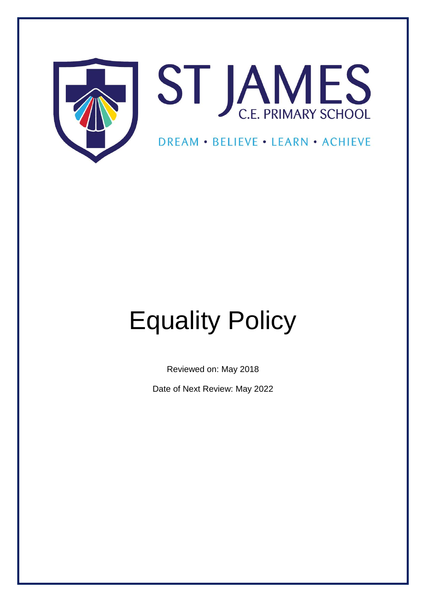



# DREAM . BELIEVE . LEARN . ACHIEVE

# Equality Policy

Reviewed on: May 2018

Date of Next Review: May 2022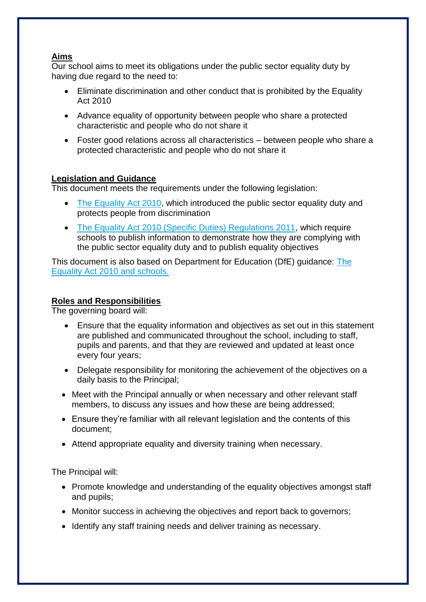# **Aims**

Our school aims to meet its obligations under the public sector equality duty by having due regard to the need to:

- Eliminate discrimination and other conduct that is prohibited by the Equality Act 2010
- Advance equality of opportunity between people who share a protected characteristic and people who do not share it
- Foster good relations across all characteristics between people who share a protected characteristic and people who do not share it

## **Legislation and Guidance**

This document meets the requirements under the following legislation:

- [The Equality Act 2010,](http://www.legislation.gov.uk/ukpga/2010/15/contents) which introduced the public sector equality duty and protects people from discrimination
- [The Equality Act 2010 \(Specific Duties\) Regulations 2011,](http://www.legislation.gov.uk/uksi/2011/2260/contents/made) which require schools to publish information to demonstrate how they are complying with the public sector equality duty and to publish equality objectives

This document is also based on Department for Education (DfE) guidance: [The](https://www.gov.uk/government/uploads/system/uploads/attachment_data/file/315587/Equality_Act_Advice_Final.pdf)  [Equality Act 2010 and schools.](https://www.gov.uk/government/uploads/system/uploads/attachment_data/file/315587/Equality_Act_Advice_Final.pdf) 

## **Roles and Responsibilities**

The governing board will:

- Ensure that the equality information and objectives as set out in this statement are published and communicated throughout the school, including to staff, pupils and parents, and that they are reviewed and updated at least once every four years;
- Delegate responsibility for monitoring the achievement of the objectives on a daily basis to the Principal;
- Meet with the Principal annually or when necessary and other relevant staff members, to discuss any issues and how these are being addressed;
- Ensure they're familiar with all relevant legislation and the contents of this document;
- Attend appropriate equality and diversity training when necessary.

The Principal will:

- Promote knowledge and understanding of the equality objectives amongst staff and pupils;
- Monitor success in achieving the objectives and report back to governors;
- Identify any staff training needs and deliver training as necessary.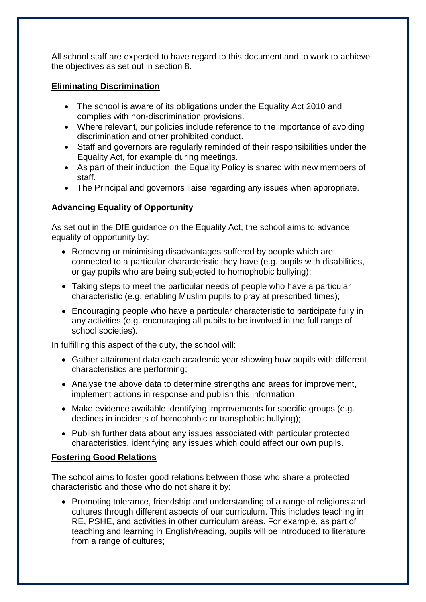All school staff are expected to have regard to this document and to work to achieve the objectives as set out in section 8.

# **Eliminating Discrimination**

- The school is aware of its obligations under the Equality Act 2010 and complies with non-discrimination provisions.
- Where relevant, our policies include reference to the importance of avoiding discrimination and other prohibited conduct.
- Staff and governors are regularly reminded of their responsibilities under the Equality Act, for example during meetings.
- As part of their induction, the Equality Policy is shared with new members of staff.
- The Principal and governors liaise regarding any issues when appropriate.

# **Advancing Equality of Opportunity**

As set out in the DfE guidance on the Equality Act, the school aims to advance equality of opportunity by:

- Removing or minimising disadvantages suffered by people which are connected to a particular characteristic they have (e.g. pupils with disabilities, or gay pupils who are being subjected to homophobic bullying);
- Taking steps to meet the particular needs of people who have a particular characteristic (e.g. enabling Muslim pupils to pray at prescribed times);
- Encouraging people who have a particular characteristic to participate fully in any activities (e.g. encouraging all pupils to be involved in the full range of school societies).

In fulfilling this aspect of the duty, the school will:

- Gather attainment data each academic year showing how pupils with different characteristics are performing;
- Analyse the above data to determine strengths and areas for improvement, implement actions in response and publish this information;
- Make evidence available identifying improvements for specific groups (e.g. declines in incidents of homophobic or transphobic bullying);
- Publish further data about any issues associated with particular protected characteristics, identifying any issues which could affect our own pupils.

# **Fostering Good Relations**

The school aims to foster good relations between those who share a protected characteristic and those who do not share it by:

• Promoting tolerance, friendship and understanding of a range of religions and cultures through different aspects of our curriculum. This includes teaching in RE, PSHE, and activities in other curriculum areas. For example, as part of teaching and learning in English/reading, pupils will be introduced to literature from a range of cultures;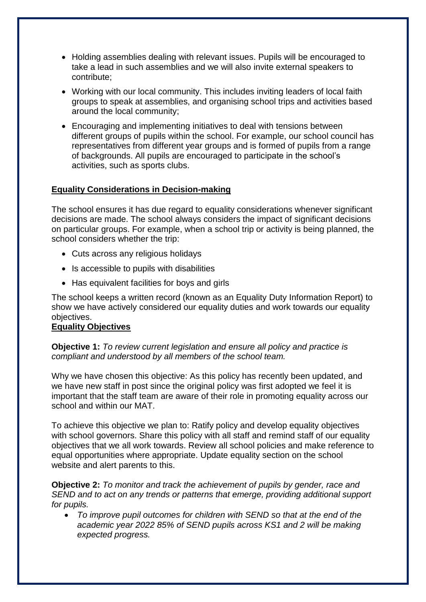- Holding assemblies dealing with relevant issues. Pupils will be encouraged to take a lead in such assemblies and we will also invite external speakers to contribute;
- Working with our local community. This includes inviting leaders of local faith groups to speak at assemblies, and organising school trips and activities based around the local community;
- Encouraging and implementing initiatives to deal with tensions between different groups of pupils within the school. For example, our school council has representatives from different year groups and is formed of pupils from a range of backgrounds. All pupils are encouraged to participate in the school's activities, such as sports clubs.

## **Equality Considerations in Decision-making**

The school ensures it has due regard to equality considerations whenever significant decisions are made. The school always considers the impact of significant decisions on particular groups. For example, when a school trip or activity is being planned, the school considers whether the trip:

- Cuts across any religious holidays
- Is accessible to pupils with disabilities
- Has equivalent facilities for boys and girls

The school keeps a written record (known as an Equality Duty Information Report) to show we have actively considered our equality duties and work towards our equality objectives.

#### **Equality Objectives**

**Objective 1:** *To review current legislation and ensure all policy and practice is compliant and understood by all members of the school team.*

Why we have chosen this objective: As this policy has recently been updated, and we have new staff in post since the original policy was first adopted we feel it is important that the staff team are aware of their role in promoting equality across our school and within our MAT.

To achieve this objective we plan to: Ratify policy and develop equality objectives with school governors. Share this policy with all staff and remind staff of our equality objectives that we all work towards. Review all school policies and make reference to equal opportunities where appropriate. Update equality section on the school website and alert parents to this.

**Objective 2:** *To monitor and track the achievement of pupils by gender, race and SEND and to act on any trends or patterns that emerge, providing additional support for pupils.* 

• *To improve pupil outcomes for children with SEND so that at the end of the academic year 2022 85% of SEND pupils across KS1 and 2 will be making expected progress.*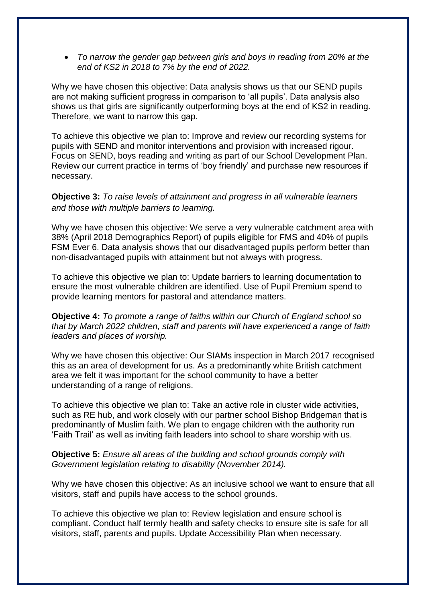• *To narrow the gender gap between girls and boys in reading from 20% at the end of KS2 in 2018 to 7% by the end of 2022.*

Why we have chosen this objective: Data analysis shows us that our SEND pupils are not making sufficient progress in comparison to 'all pupils'. Data analysis also shows us that girls are significantly outperforming boys at the end of KS2 in reading. Therefore, we want to narrow this gap.

To achieve this objective we plan to: Improve and review our recording systems for pupils with SEND and monitor interventions and provision with increased rigour. Focus on SEND, boys reading and writing as part of our School Development Plan. Review our current practice in terms of 'boy friendly' and purchase new resources if necessary.

#### **Objective 3:** *To raise levels of attainment and progress in all vulnerable learners and those with multiple barriers to learning.*

Why we have chosen this objective: We serve a very vulnerable catchment area with 38% (April 2018 Demographics Report) of pupils eligible for FMS and 40% of pupils FSM Ever 6. Data analysis shows that our disadvantaged pupils perform better than non-disadvantaged pupils with attainment but not always with progress.

To achieve this objective we plan to: Update barriers to learning documentation to ensure the most vulnerable children are identified. Use of Pupil Premium spend to provide learning mentors for pastoral and attendance matters.

**Objective 4:** *To promote a range of faiths within our Church of England school so that by March 2022 children, staff and parents will have experienced a range of faith leaders and places of worship.*

Why we have chosen this objective: Our SIAMs inspection in March 2017 recognised this as an area of development for us. As a predominantly white British catchment area we felt it was important for the school community to have a better understanding of a range of religions.

To achieve this objective we plan to: Take an active role in cluster wide activities, such as RE hub, and work closely with our partner school Bishop Bridgeman that is predominantly of Muslim faith. We plan to engage children with the authority run 'Faith Trail' as well as inviting faith leaders into school to share worship with us.

#### **Objective 5:** *Ensure all areas of the building and school grounds comply with Government legislation relating to disability (November 2014).*

Why we have chosen this objective: As an inclusive school we want to ensure that all visitors, staff and pupils have access to the school grounds.

To achieve this objective we plan to: Review legislation and ensure school is compliant. Conduct half termly health and safety checks to ensure site is safe for all visitors, staff, parents and pupils. Update Accessibility Plan when necessary.